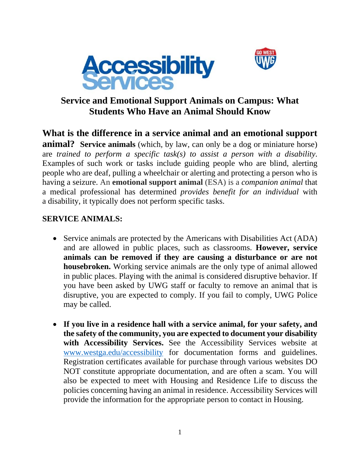



## **Service and Emotional Support Animals on Campus: What Students Who Have an Animal Should Know**

**What is the difference in a service animal and an emotional support animal?** Service animals (which, by law, can only be a dog or miniature horse) are *trained to perform a specific task(s) to assist a person with a disability*. Examples of such work or tasks include guiding people who are blind, alerting people who are deaf, pulling a wheelchair or alerting and protecting a person who is having a seizure. An **emotional support animal** (ESA) is a *companion animal* that a medical professional has determined *provides benefit for an individual* with a disability, it typically does not perform specific tasks.

## **SERVICE ANIMALS:**

- Service animals are protected by the Americans with Disabilities Act (ADA) and are allowed in public places, such as classrooms. **However, service animals can be removed if they are causing a disturbance or are not housebroken.** Working service animals are the only type of animal allowed in public places. Playing with the animal is considered disruptive behavior. If you have been asked by UWG staff or faculty to remove an animal that is disruptive, you are expected to comply. If you fail to comply, UWG Police may be called.
- **If you live in a residence hall with a service animal, for your safety, and the safety of the community, you are expected to document your disability with Accessibility Services.** See the Accessibility Services website at www.westga.edu/accessibility for documentation forms and guidelines. Registration certificates available for purchase through various websites DO NOT constitute appropriate documentation, and are often a scam. You will also be expected to meet with Housing and Residence Life to discuss the policies concerning having an animal in residence. Accessibility Services will provide the information for the appropriate person to contact in Housing.